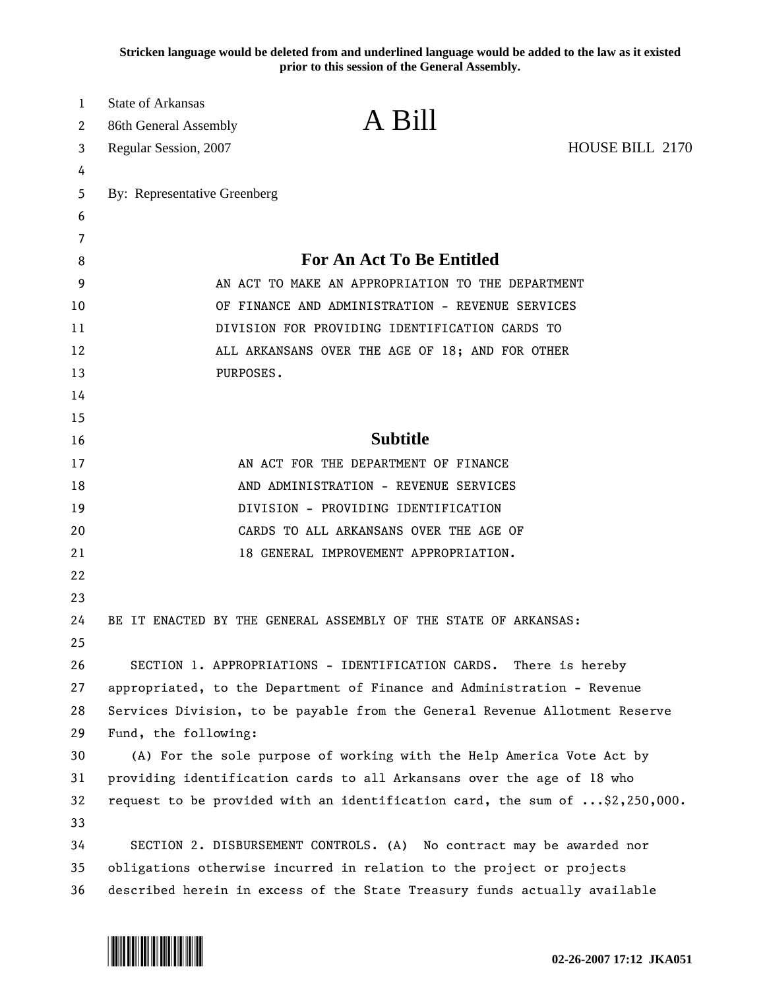**Stricken language would be deleted from and underlined language would be added to the law as it existed prior to this session of the General Assembly.**

| 1        | <b>State of Arkansas</b>                                                                            |                                                                             |                 |
|----------|-----------------------------------------------------------------------------------------------------|-----------------------------------------------------------------------------|-----------------|
| 2        | 86th General Assembly                                                                               | A Bill                                                                      |                 |
| 3        | Regular Session, 2007                                                                               |                                                                             | HOUSE BILL 2170 |
| 4        |                                                                                                     |                                                                             |                 |
| 5        | By: Representative Greenberg                                                                        |                                                                             |                 |
| 6        |                                                                                                     |                                                                             |                 |
| 7        |                                                                                                     |                                                                             |                 |
| 8        | <b>For An Act To Be Entitled</b>                                                                    |                                                                             |                 |
| 9        | AN ACT TO MAKE AN APPROPRIATION TO THE DEPARTMENT                                                   |                                                                             |                 |
| 10       | OF FINANCE AND ADMINISTRATION - REVENUE SERVICES                                                    |                                                                             |                 |
| 11       | DIVISION FOR PROVIDING IDENTIFICATION CARDS TO                                                      |                                                                             |                 |
| 12       | ALL ARKANSANS OVER THE AGE OF 18; AND FOR OTHER                                                     |                                                                             |                 |
| 13       | PURPOSES.                                                                                           |                                                                             |                 |
| 14       |                                                                                                     |                                                                             |                 |
| 15       |                                                                                                     |                                                                             |                 |
| 16       |                                                                                                     | <b>Subtitle</b>                                                             |                 |
| 17       |                                                                                                     | AN ACT FOR THE DEPARTMENT OF FINANCE                                        |                 |
| 18       |                                                                                                     | AND ADMINISTRATION - REVENUE SERVICES                                       |                 |
| 19       |                                                                                                     | DIVISION - PROVIDING IDENTIFICATION                                         |                 |
| 20       |                                                                                                     | CARDS TO ALL ARKANSANS OVER THE AGE OF                                      |                 |
| 21       |                                                                                                     | 18 GENERAL IMPROVEMENT APPROPRIATION.                                       |                 |
| 22       |                                                                                                     |                                                                             |                 |
| 23       |                                                                                                     |                                                                             |                 |
| 24       |                                                                                                     | BE IT ENACTED BY THE GENERAL ASSEMBLY OF THE STATE OF ARKANSAS:             |                 |
| 25<br>26 |                                                                                                     |                                                                             |                 |
| 27       |                                                                                                     | SECTION 1. APPROPRIATIONS - IDENTIFICATION CARDS. There is hereby           |                 |
| 28       |                                                                                                     | appropriated, to the Department of Finance and Administration - Revenue     |                 |
| 29       | Services Division, to be payable from the General Revenue Allotment Reserve<br>Fund, the following: |                                                                             |                 |
| 30       |                                                                                                     | (A) For the sole purpose of working with the Help America Vote Act by       |                 |
| 31       | providing identification cards to all Arkansans over the age of 18 who                              |                                                                             |                 |
| 32       |                                                                                                     | request to be provided with an identification card, the sum of \$2,250,000. |                 |
| 33       |                                                                                                     |                                                                             |                 |
| 34       |                                                                                                     | SECTION 2. DISBURSEMENT CONTROLS. (A) No contract may be awarded nor        |                 |
| 35       |                                                                                                     | obligations otherwise incurred in relation to the project or projects       |                 |
| 36       |                                                                                                     | described herein in excess of the State Treasury funds actually available   |                 |
|          |                                                                                                     |                                                                             |                 |